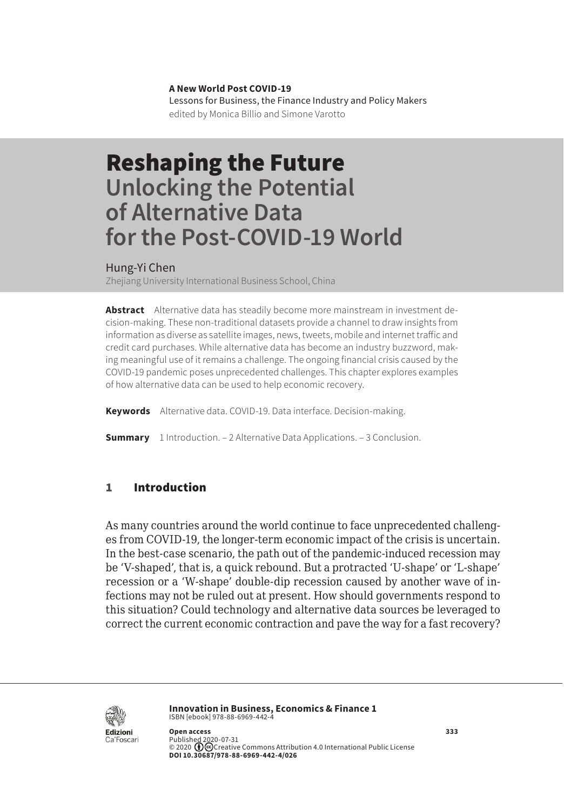**A New World Post COVID-19** Lessons for Business, the Finance Industry and Policy Makers edited by Monica Billio and Simone Varotto

# Reshaping the Future **Unlocking the Potential of Alternative Data for the Post-COVID-19 World**

Hung-Yi Chen

Zheijang University International Business School, China

**Abstract** Alternative data has steadily become more mainstream in investment decision-making. These non-traditional datasets provide a channel to draw insights from information as diverse as satellite images, news, tweets, mobile and internet traffic and credit card purchases. While alternative data has become an industry buzzword, making meaningful use of it remains a challenge. The ongoing financial crisis caused by the COVID-19 pandemic poses unprecedented challenges. This chapter explores examples of how alternative data can be used to help economic recovery.

**Keywords** Alternative data. COVID-19. Data interface. Decision-making.

**Summary** [1 Introduction](#page-1-0). – [2 Alternative Data Applications.](#page-2-0) – [3 Conclusion](#page-4-0).

### 1 Introduction

As many countries around the world continue to face unprecedented challenges from COVID-19, the longer-term economic impact of the crisis is uncertain. In the best-case scenario, the path out of the pandemic-induced recession may be 'V-shaped', that is, a quick rebound. But a protracted 'U-shape' or 'L-shape' recession or a 'W-shape' double-dip recession caused by another wave of infections may not be ruled out at present. How should governments respond to this situation? Could technology and alternative data sources be leveraged to correct the current economic contraction and pave the way for a fast recovery?



**Innovation in Business, Economics & Finance 1** ISBN [ebook] 978-88-6969-442-4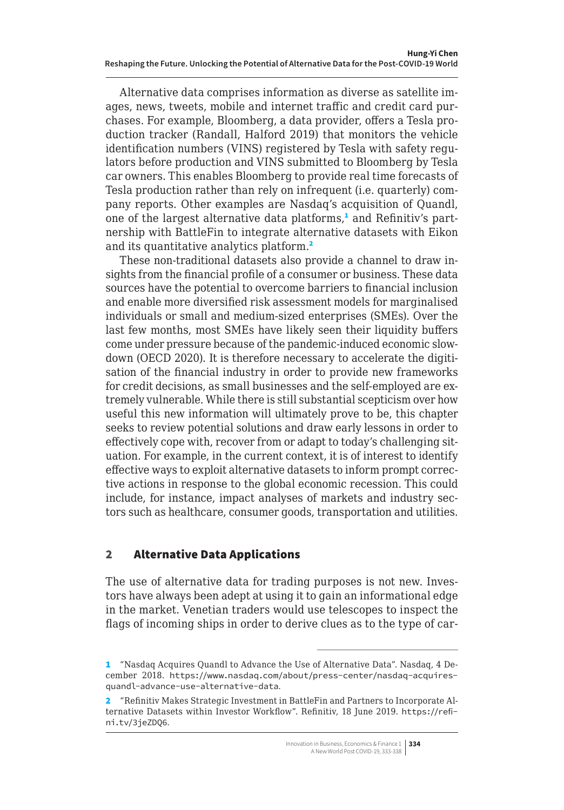<span id="page-1-0"></span>Alternative data comprises information as diverse as satellite images, news, tweets, mobile and internet traffic and credit card purchases. For example, Bloomberg, a data provider, offers a Tesla production tracker (Randall, Halford 2019) that monitors the vehicle identification numbers (VINS) registered by Tesla with safety regulators before production and VINS submitted to Bloomberg by Tesla car owners. This enables Bloomberg to provide real time forecasts of Tesla production rather than rely on infrequent (i.e. quarterly) company reports. Other examples are Nasdaq's acquisition of Quandl, one of the largest alternative data platforms,<sup>1</sup> and Refinitiv's partnership with BattleFin to integrate alternative datasets with Eikon and its quantitative analytics platform.<sup>2</sup>

These non-traditional datasets also provide a channel to draw insights from the financial profile of a consumer or business. These data sources have the potential to overcome barriers to financial inclusion and enable more diversified risk assessment models for marginalised individuals or small and medium-sized enterprises (SMEs). Over the last few months, most SMEs have likely seen their liquidity buffers come under pressure because of the pandemic-induced economic slowdown (OECD 2020). It is therefore necessary to accelerate the digitisation of the financial industry in order to provide new frameworks for credit decisions, as small businesses and the self-employed are extremely vulnerable. While there is still substantial scepticism over how useful this new information will ultimately prove to be, this chapter seeks to review potential solutions and draw early lessons in order to effectively cope with, recover from or adapt to today's challenging situation. For example, in the current context, it is of interest to identify effective ways to exploit alternative datasets to inform prompt corrective actions in response to the global economic recession. This could include, for instance, impact analyses of markets and industry sectors such as healthcare, consumer goods, transportation and utilities.

## 2 Alternative Data Applications

The use of alternative data for trading purposes is not new. Investors have always been adept at using it to gain an informational edge in the market. Venetian traders would use telescopes to inspect the flags of incoming ships in order to derive clues as to the type of car-

<sup>1</sup> "Nasdaq Acquires Quandl to Advance the Use of Alternative Data". Nasdaq, 4 December 2018. [https://www.nasdaq.com/about/press-center/nasdaq-acquires](https://www.nasdaq.com/about/press-center/nasdaq-acquires-quandl-advance-use-alternative-data)[quandl-advance-use-alternative-data](https://www.nasdaq.com/about/press-center/nasdaq-acquires-quandl-advance-use-alternative-data).

<sup>2</sup> "Refinitiv Makes Strategic Investment in BattleFin and Partners to Incorporate Alternative Datasets within Investor Workflow". Refinitiv, 18 June 2019. [https://refi](https://refini.tv/3jeZDQ6)[ni.tv/3jeZDQ6](https://refini.tv/3jeZDQ6).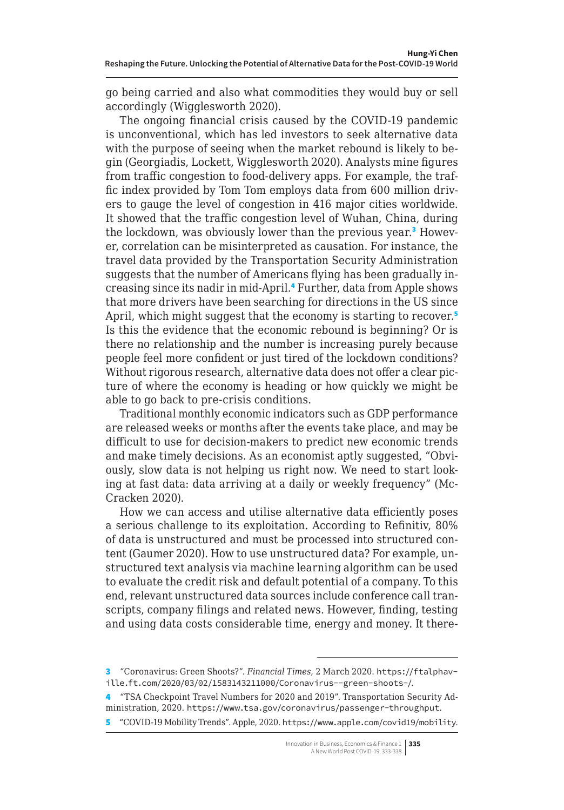<span id="page-2-0"></span>go being carried and also what commodities they would buy or sell accordingly (Wigglesworth 2020).

The ongoing financial crisis caused by the COVID-19 pandemic is unconventional, which has led investors to seek alternative data with the purpose of seeing when the market rebound is likely to begin (Georgiadis, Lockett, Wigglesworth 2020). Analysts mine figures from traffic congestion to food-delivery apps. For example, the traffic index provided by Tom Tom employs data from 600 million drivers to gauge the level of congestion in 416 major cities worldwide. It showed that the traffic congestion level of Wuhan, China, during the lockdown, was obviously lower than the previous year.<sup>3</sup> However, correlation can be misinterpreted as causation. For instance, the travel data provided by the Transportation Security Administration suggests that the number of Americans flying has been gradually increasing since its nadir in mid-April.<sup>4</sup> Further, data from Apple shows that more drivers have been searching for directions in the US since April, which might suggest that the economy is starting to recover.<sup>5</sup> Is this the evidence that the economic rebound is beginning? Or is there no relationship and the number is increasing purely because people feel more confident or just tired of the lockdown conditions? Without rigorous research, alternative data does not offer a clear picture of where the economy is heading or how quickly we might be able to go back to pre-crisis conditions.

Traditional monthly economic indicators such as GDP performance are released weeks or months after the events take place, and may be difficult to use for decision-makers to predict new economic trends and make timely decisions. As an economist aptly suggested, "Obviously, slow data is not helping us right now. We need to start looking at fast data: data arriving at a daily or weekly frequency" (Mc-Cracken 2020).

How we can access and utilise alternative data efficiently poses a serious challenge to its exploitation. According to Refinitiv, 80% of data is unstructured and must be processed into structured content (Gaumer 2020). How to use unstructured data? For example, unstructured text analysis via machine learning algorithm can be used to evaluate the credit risk and default potential of a company. To this end, relevant unstructured data sources include conference call transcripts, company filings and related news. However, finding, testing and using data costs considerable time, energy and money. It there-

<sup>3</sup> "Coronavirus: Green Shoots?". *Financial Times*, 2 March 2020. [https://ftalphav](https://ftalphaville.ft.com/2020/03/02/1583143211000/Coronavirus--green-shoots-/)[ille.ft.com/2020/03/02/1583143211000/Coronavirus--green-shoots-/](https://ftalphaville.ft.com/2020/03/02/1583143211000/Coronavirus--green-shoots-/).

<sup>4</sup> "TSA Checkpoint Travel Numbers for 2020 and 2019". Transportation Security Administration, 2020. <https://www.tsa.gov/coronavirus/passenger-throughput>.

<sup>5</sup> "COVID-19 Mobility Trends". Apple, 2020. <https://www.apple.com/covid19/mobility>.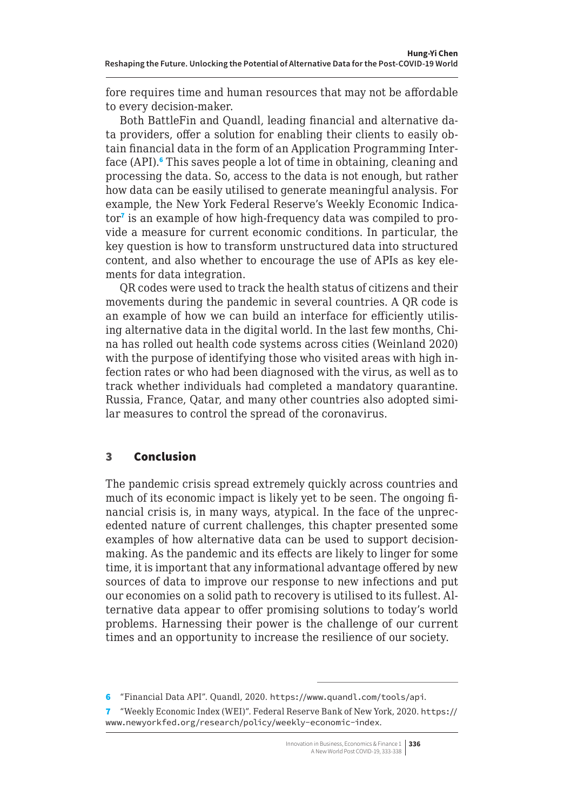fore requires time and human resources that may not be affordable to every decision-maker.

Both BattleFin and Quandl, leading financial and alternative data providers, offer a solution for enabling their clients to easily obtain financial data in the form of an Application Programming Interface (API).<sup>6</sup> This saves people a lot of time in obtaining, cleaning and processing the data. So, access to the data is not enough, but rather how data can be easily utilised to generate meaningful analysis. For example, the New York Federal Reserve's Weekly Economic Indicator<sup>7</sup> is an example of how high-frequency data was compiled to provide a measure for current economic conditions. In particular, the key question is how to transform unstructured data into structured content, and also whether to encourage the use of APIs as key elements for data integration.

QR codes were used to track the health status of citizens and their movements during the pandemic in several countries. A QR code is an example of how we can build an interface for efficiently utilising alternative data in the digital world. In the last few months, China has rolled out health code systems across cities (Weinland 2020) with the purpose of identifying those who visited areas with high infection rates or who had been diagnosed with the virus, as well as to track whether individuals had completed a mandatory quarantine. Russia, France, Qatar, and many other countries also adopted similar measures to control the spread of the coronavirus.

## 3 Conclusion

The pandemic crisis spread extremely quickly across countries and much of its economic impact is likely yet to be seen. The ongoing financial crisis is, in many ways, atypical. In the face of the unprecedented nature of current challenges, this chapter presented some examples of how alternative data can be used to support decisionmaking. As the pandemic and its effects are likely to linger for some time, it is important that any informational advantage offered by new sources of data to improve our response to new infections and put our economies on a solid path to recovery is utilised to its fullest. Alternative data appear to offer promising solutions to today's world problems. Harnessing their power is the challenge of our current times and an opportunity to increase the resilience of our society.

<sup>6</sup> "Financial Data API". Quandl, 2020. <https://www.quandl.com/tools/api>.

<sup>7</sup> "Weekly Economic Index (WEI)". Federal Reserve Bank of New York, 2020. [https://](https://www.newyorkfed.org/research/policy/weekly-economic-index) [www.newyorkfed.org/research/policy/weekly-economic-index](https://www.newyorkfed.org/research/policy/weekly-economic-index).